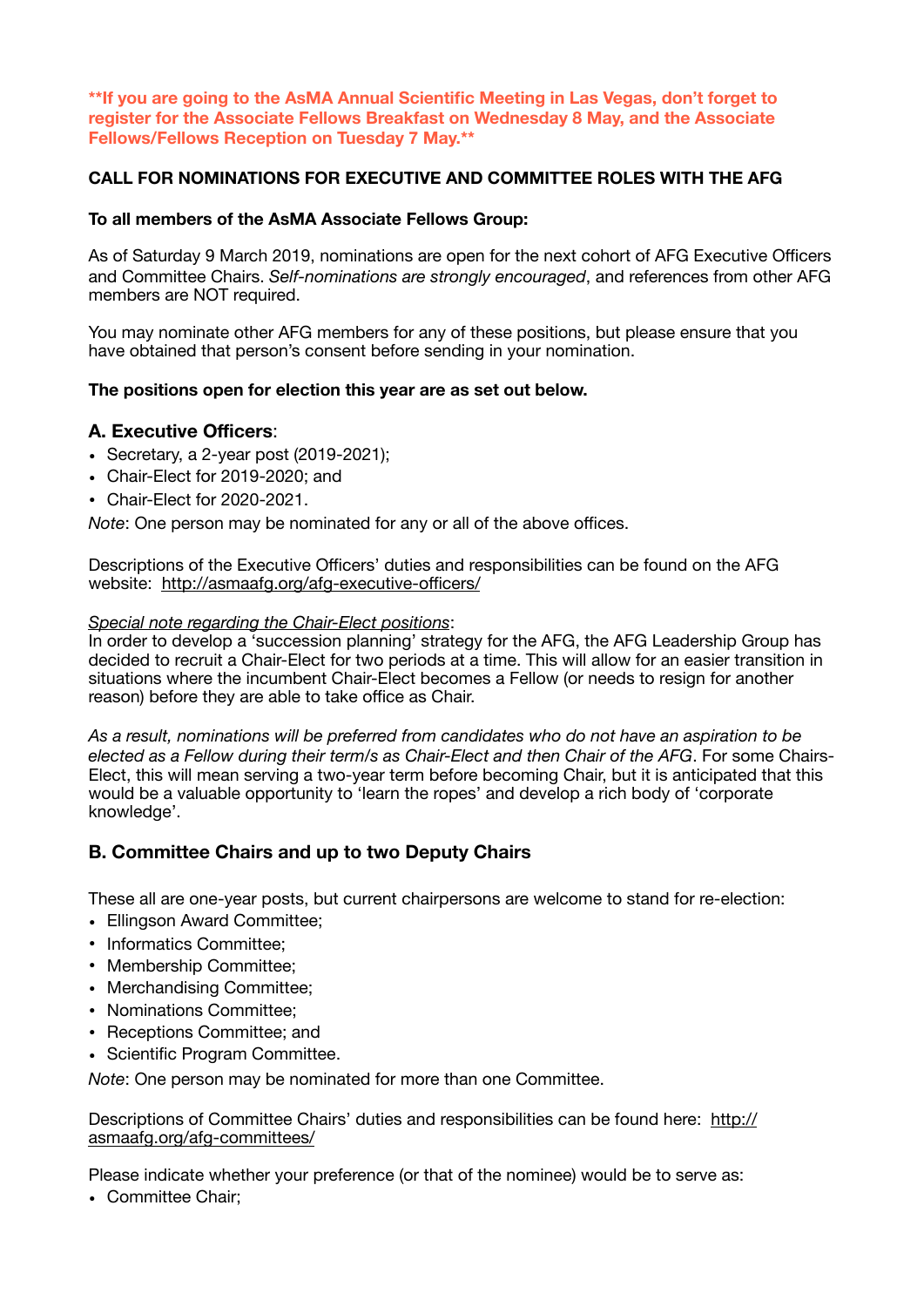**\*\*If you are going to the AsMA Annual Scientific Meeting in Las Vegas, don't forget to register for the Associate Fellows Breakfast on Wednesday 8 May, and the Associate Fellows/Fellows Reception on Tuesday 7 May.\*\*** 

## **CALL FOR NOMINATIONS FOR EXECUTIVE AND COMMITTEE ROLES WITH THE AFG**

## **To all members of the AsMA Associate Fellows Group:**

As of Saturday 9 March 2019, nominations are open for the next cohort of AFG Executive Officers and Committee Chairs. *Self-nominations are strongly encouraged*, and references from other AFG members are NOT required.

You may nominate other AFG members for any of these positions, but please ensure that you have obtained that person's consent before sending in your nomination.

## **The positions open for election this year are as set out below.**

# **A. Executive Officers**:

- Secretary, a 2-year post (2019-2021);
- Chair-Elect for 2019-2020; and
- Chair-Elect for 2020-2021.

*Note*: One person may be nominated for any or all of the above offices.

Descriptions of the Executive Officers' duties and responsibilities can be found on the AFG website: [http://asmaafg.org/afg-executive-o](http://asmaafg.org/afg-executive-officers/)fficers/

#### *Special note regarding the Chair-Elect positions*:

In order to develop a 'succession planning' strategy for the AFG, the AFG Leadership Group has decided to recruit a Chair-Elect for two periods at a time. This will allow for an easier transition in situations where the incumbent Chair-Elect becomes a Fellow (or needs to resign for another reason) before they are able to take office as Chair.

*As a result, nominations will be preferred from candidates who do not have an aspiration to be elected as a Fellow during their term/s as Chair-Elect and then Chair of the AFG*. For some Chairs-Elect, this will mean serving a two-year term before becoming Chair, but it is anticipated that this would be a valuable opportunity to 'learn the ropes' and develop a rich body of 'corporate knowledge'.

# **B. Committee Chairs and up to two Deputy Chairs**

These all are one-year posts, but current chairpersons are welcome to stand for re-election:

- Ellingson Award Committee;
- Informatics Committee;
- Membership Committee;
- Merchandising Committee;
- Nominations Committee;
- Receptions Committee; and
- Scientific Program Committee.

*Note*: One person may be nominated for more than one Committee.

Descriptions of Committee Chairs' duties and responsibilities can be found here: [http://](http://asmaafg.org/afg-committees/) [asmaafg.org/afg-committees/](http://asmaafg.org/afg-committees/)

Please indicate whether your preference (or that of the nominee) would be to serve as:

• Committee Chair;